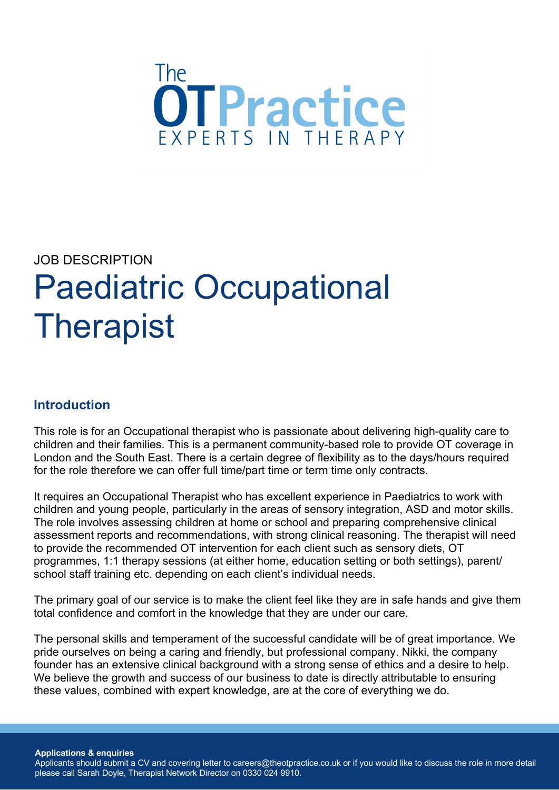

# JOB DESCRIPTION Paediatric Occupational **Therapist**

### **Introduction**

This role is for an Occupational therapist who is passionate about delivering high-quality care to children and their families. This is a permanent community-based role to provide OT coverage in London and the South East. There is a certain degree of flexibility as to the days/hours required for the role therefore we can offer full time/part time or term time only contracts.

It requires an Occupational Therapist who has excellent experience in Paediatrics to work with children and young people, particularly in the areas of sensory integration, ASD and motor skills. The role involves assessing children at home or school and preparing comprehensive clinical assessment reports and recommendations, with strong clinical reasoning. The therapist will need to provide the recommended OT intervention for each client such as sensory diets, OT programmes, 1:1 therapy sessions (at either home, education setting or both settings), parent/ school staff training etc. depending on each client's individual needs.

The primary goal of our service is to make the client feel like they are in safe hands and give them total confidence and comfort in the knowledge that they are under our care.

The personal skills and temperament of the successful candidate will be of great importance. We pride ourselves on being a caring and friendly, but professional company. Nikki, the company founder has an extensive clinical background with a strong sense of ethics and a desire to help. We believe the growth and success of our business to date is directly attributable to ensuring these values, combined with expert knowledge, are at the core of everything we do.

**Applications & enquiries**

Applicants should submit a CV and covering letter to careers@theotpractice.co.uk or if you would like to discuss the role in more detail please call Sarah Doyle, Therapist Network Director on 0330 024 9910.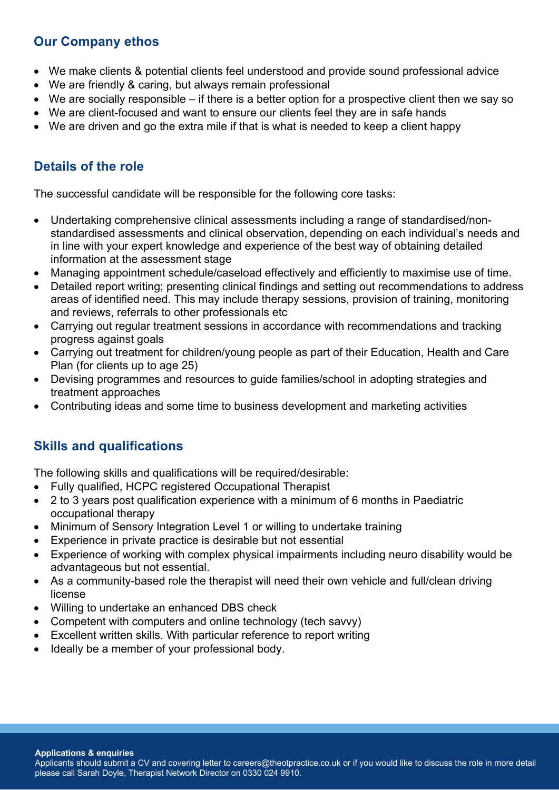#### **Our Company ethos**

- We make clients & potential clients feel understood and provide sound professional advice
- We are friendly & caring, but always remain professional
- We are socially responsible if there is a better option for a prospective client then we say so
- We are client-focused and want to ensure our clients feel they are in safe hands
- We are driven and go the extra mile if that is what is needed to keep a client happy

# **Details of the role**

The successful candidate will be responsible for the following core tasks:

- Undertaking comprehensive clinical assessments including a range of standardised/nonstandardised assessments and clinical observation, depending on each individual's needs and in line with your expert knowledge and experience of the best way of obtaining detailed information at the assessment stage
- Managing appointment schedule/caseload effectively and efficiently to maximise use of time.
- Detailed report writing; presenting clinical findings and setting out recommendations to address areas of identified need. This may include therapy sessions, provision of training, monitoring and reviews, referrals to other professionals etc
- Carrying out regular treatment sessions in accordance with recommendations and tracking progress against goals
- Carrying out treatment for children/young people as part of their Education, Health and Care Plan (for clients up to age 25)
- Devising programmes and resources to guide families/school in adopting strategies and treatment approaches
- Contributing ideas and some time to business development and marketing activities

### **Skills and qualifications**

The following skills and qualifications will be required/desirable:

- Fully qualified, HCPC registered Occupational Therapist
- 2 to 3 years post qualification experience with a minimum of 6 months in Paediatric occupational therapy
- Minimum of Sensory Integration Level 1 or willing to undertake training
- Experience in private practice is desirable but not essential
- Experience of working with complex physical impairments including neuro disability would be advantageous but not essential.
- As a community-based role the therapist will need their own vehicle and full/clean driving license
- Willing to undertake an enhanced DBS check
- Competent with computers and online technology (tech savvy)
- Excellent written skills. With particular reference to report writing
- Ideally be a member of your professional body.

#### **Applications & enquiries**